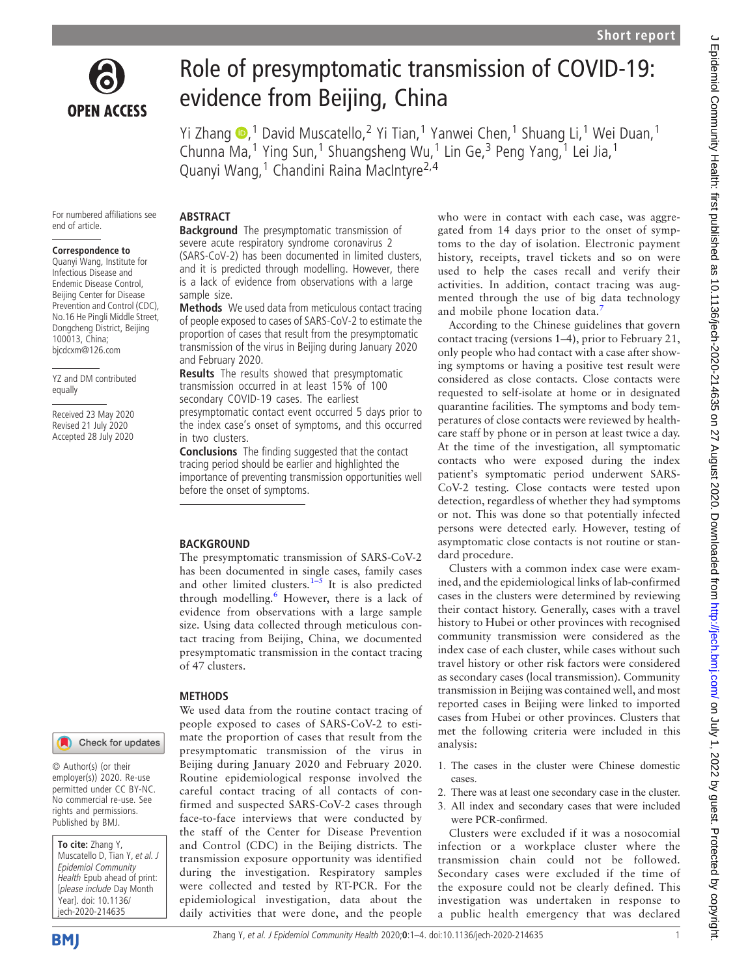

# Role of presymptomatic transmission of COVID-19: evidence from Beijing, China

Yi Zhang  $\bullet$ ,<sup>1</sup> David Muscatello,<sup>2</sup> Yi Tian,<sup>1</sup> Yanwei Chen,<sup>1</sup> Shuang Li,<sup>1</sup> Wei Duan,<sup>1</sup> Chunna Ma,<sup>1</sup> Ying Sun,<sup>1</sup> Shuangsheng Wu,<sup>1</sup> Lin Ge,<sup>3</sup> Peng Yang,<sup>1</sup> Lei Jia,<sup>1</sup> Quanyi Wang,<sup>1</sup> Chandini Raina MacIntyre<sup>2,4</sup>

For numbered affiliations see end of article.

#### Correspondence to

Quanyi Wang, Institute for Infectious Disease and Endemic Disease Control, Beijing Center for Disease Prevention and Control (CDC), No.16 He Pingli Middle Street, Dongcheng District, Beijing 100013, China; [bjcdcxm@126.com](mailto:bjcdcxm@126.com)

YZ and DM contributed equally

Received 23 May 2020 Revised 21 July 2020 Accepted 28 July 2020

## Check for updates

© Author(s) (or their employer(s)) 2020. Re-use permitted under CC BY-NC. No commercial re-use. See rights and permissions. Published by BMJ.

To cite: Zhang Y, Muscatello D, Tian Y, et al. J Epidemiol Community Health Epub ahead of print: [please include Day Month Year]. doi: 10.1136/ jech-2020-214635

#### **ABSTRACT**

**Background** The presymptomatic transmission of severe acute respiratory syndrome coronavirus 2 (SARS-CoV-2) has been documented in limited clusters, and it is predicted through modelling. However, there is a lack of evidence from observations with a large sample size.

**Methods** We used data from meticulous contact tracing of people exposed to cases of SARS-CoV-2 to estimate the proportion of cases that result from the presymptomatic transmission of the virus in Beijing during January 2020 and February 2020.

**Results** The results showed that presymptomatic transmission occurred in at least 15% of 100 secondary COVID-19 cases. The earliest presymptomatic contact event occurred 5 days prior to the index case's onset of symptoms, and this occurred in two clusters.

Conclusions The finding suggested that the contact tracing period should be earlier and highlighted the importance of preventing transmission opportunities well before the onset of symptoms.

#### **BACKGROUND**

The presymptomatic transmission of SARS-CoV-2 has been documented in single cases, family cases and other limited clusters.<sup>1–[5](#page-3-0)</sup> It is also predicted through modelling.<sup>[6](#page-3-1)</sup> However, there is a lack of evidence from observations with a large sample size. Using data collected through meticulous contact tracing from Beijing, China, we documented presymptomatic transmission in the contact tracing of 47 clusters.

#### **METHODS**

We used data from the routine contact tracing of people exposed to cases of SARS-CoV-2 to estimate the proportion of cases that result from the presymptomatic transmission of the virus in Beijing during January 2020 and February 2020. Routine epidemiological response involved the careful contact tracing of all contacts of confirmed and suspected SARS-CoV-2 cases through face-to-face interviews that were conducted by the staff of the Center for Disease Prevention and Control (CDC) in the Beijing districts. The transmission exposure opportunity was identified during the investigation. Respiratory samples were collected and tested by RT-PCR. For the epidemiological investigation, data about the daily activities that were done, and the people

who were in contact with each case, was aggregated from 14 days prior to the onset of symptoms to the day of isolation. Electronic payment history, receipts, travel tickets and so on were used to help the cases recall and verify their activities. In addition, contact tracing was augmented through the use of big data technology and mobile phone location data.<sup>[7](#page-3-2)</sup>

According to the Chinese guidelines that govern contact tracing (versions 1–4), prior to February 21, only people who had contact with a case after showing symptoms or having a positive test result were considered as close contacts. Close contacts were requested to self-isolate at home or in designated quarantine facilities. The symptoms and body temperatures of close contacts were reviewed by healthcare staff by phone or in person at least twice a day. At the time of the investigation, all symptomatic contacts who were exposed during the index patient's symptomatic period underwent SARS-CoV-2 testing. Close contacts were tested upon detection, regardless of whether they had symptoms or not. This was done so that potentially infected persons were detected early. However, testing of asymptomatic close contacts is not routine or standard procedure.

Clusters with a common index case were examined, and the epidemiological links of lab-confirmed cases in the clusters were determined by reviewing their contact history. Generally, cases with a travel history to Hubei or other provinces with recognised community transmission were considered as the index case of each cluster, while cases without such travel history or other risk factors were considered as secondary cases (local transmission). Community transmission in Beijing was contained well, and most reported cases in Beijing were linked to imported cases from Hubei or other provinces. Clusters that met the following criteria were included in this analysis:

- 1. The cases in the cluster were Chinese domestic cases.
- 2. There was at least one secondary case in the cluster.
- 3. All index and secondary cases that were included were PCR-confirmed.

Clusters were excluded if it was a nosocomial infection or a workplace cluster where the transmission chain could not be followed. Secondary cases were excluded if the time of the exposure could not be clearly defined. This investigation was undertaken in response to a public health emergency that was declared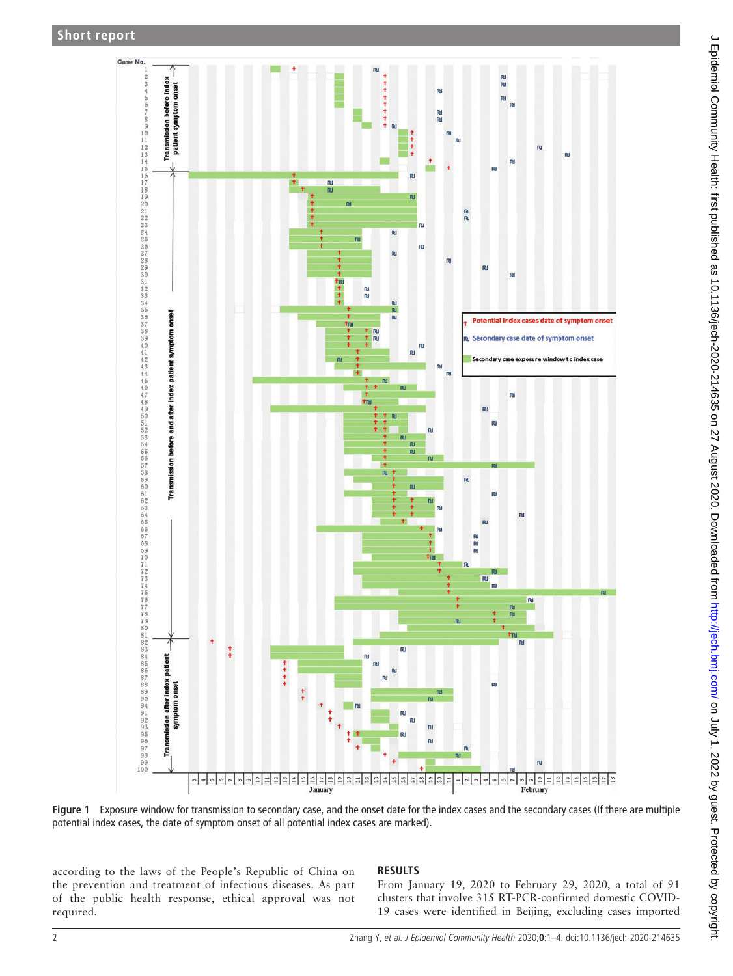<span id="page-1-0"></span>

Figure 1 Exposure window for transmission to secondary case, and the onset date for the index cases and the secondary cases (If there are multiple potential index cases, the date of symptom onset of all potential index cases are marked).

according to the laws of the People's Republic of China on the prevention and treatment of infectious diseases. As part of the public health response, ethical approval was not required.

## RESULTS

From January 19, 2020 to February 29, 2020, a total of 91 clusters that involve 315 RT-PCR-confirmed domestic COVID-19 cases were identified in Beijing, excluding cases imported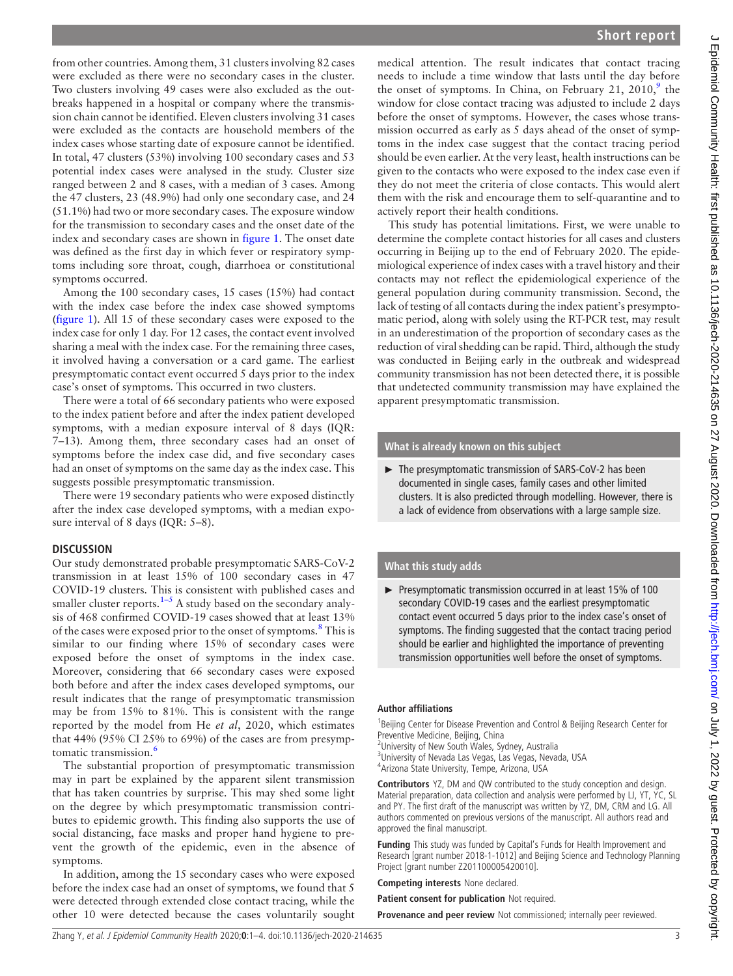from other countries. Among them, 31 clusters involving 82 cases were excluded as there were no secondary cases in the cluster. Two clusters involving 49 cases were also excluded as the outbreaks happened in a hospital or company where the transmission chain cannot be identified. Eleven clusters involving 31 cases were excluded as the contacts are household members of the index cases whose starting date of exposure cannot be identified. In total, 47 clusters (53%) involving 100 secondary cases and 53 potential index cases were analysed in the study. Cluster size ranged between 2 and 8 cases, with a median of 3 cases. Among the 47 clusters, 23 (48.9%) had only one secondary case, and 24 (51.1%) had two or more secondary cases. The exposure window for the transmission to secondary cases and the onset date of the index and secondary cases are shown in [figure 1.](#page-1-0) The onset date was defined as the first day in which fever or respiratory symptoms including sore throat, cough, diarrhoea or constitutional symptoms occurred.

Among the 100 secondary cases, 15 cases (15%) had contact with the index case before the index case showed symptoms ([figure 1](#page-1-0)). All 15 of these secondary cases were exposed to the index case for only 1 day. For 12 cases, the contact event involved sharing a meal with the index case. For the remaining three cases, it involved having a conversation or a card game. The earliest presymptomatic contact event occurred 5 days prior to the index case's onset of symptoms. This occurred in two clusters.

There were a total of 66 secondary patients who were exposed to the index patient before and after the index patient developed symptoms, with a median exposure interval of 8 days (IQR: 7–13). Among them, three secondary cases had an onset of symptoms before the index case did, and five secondary cases had an onset of symptoms on the same day as the index case. This suggests possible presymptomatic transmission.

There were 19 secondary patients who were exposed distinctly after the index case developed symptoms, with a median exposure interval of 8 days (IQR: 5–8).

#### **DISCUSSION**

Our study demonstrated probable presymptomatic SARS-CoV-2 transmission in at least 15% of 100 secondary cases in 47 COVID-19 clusters. T[his](#page-3-0) is consistent with published cases and smaller cluster reports.<sup>1–5</sup> A study based on the secondary analysis of 468 confirmed COVID-19 cases showed that at least 13% of the cases were exposed prior to the onset of symptoms.<sup>[8](#page-3-3)</sup> This is similar to our finding where 15% of secondary cases were exposed before the onset of symptoms in the index case. Moreover, considering that 66 secondary cases were exposed both before and after the index cases developed symptoms, our result indicates that the range of presymptomatic transmission may be from 15% to 81%. This is consistent with the range reported by the model from He et al, 2020, which estimates that 44% (95% CI 25% to 69%) of the cases are from presymptomatic transmission.[6](#page-3-1)

The substantial proportion of presymptomatic transmission may in part be explained by the apparent silent transmission that has taken countries by surprise. This may shed some light on the degree by which presymptomatic transmission contributes to epidemic growth. This finding also supports the use of social distancing, face masks and proper hand hygiene to prevent the growth of the epidemic, even in the absence of symptoms.

In addition, among the 15 secondary cases who were exposed before the index case had an onset of symptoms, we found that 5 were detected through extended close contact tracing, while the other 10 were detected because the cases voluntarily sought

medical attention. The result indicates that contact tracing needs to include a time window that lasts until the day before the onset of symptoms. In China, on February 21, 2010, $9$  the window for close contact tracing was adjusted to include 2 days before the onset of symptoms. However, the cases whose transmission occurred as early as 5 days ahead of the onset of symptoms in the index case suggest that the contact tracing period should be even earlier. At the very least, health instructions can be given to the contacts who were exposed to the index case even if they do not meet the criteria of close contacts. This would alert them with the risk and encourage them to self-quarantine and to actively report their health conditions.

This study has potential limitations. First, we were unable to determine the complete contact histories for all cases and clusters occurring in Beijing up to the end of February 2020. The epidemiological experience of index cases with a travel history and their contacts may not reflect the epidemiological experience of the general population during community transmission. Second, the lack of testing of all contacts during the index patient's presymptomatic period, along with solely using the RT-PCR test, may result in an underestimation of the proportion of secondary cases as the reduction of viral shedding can be rapid. Third, although the study was conducted in Beijing early in the outbreak and widespread community transmission has not been detected there, it is possible that undetected community transmission may have explained the apparent presymptomatic transmission.

#### What is already known on this subject

► The presymptomatic transmission of SARS-CoV-2 has been documented in single cases, family cases and other limited clusters. It is also predicted through modelling. However, there is a lack of evidence from observations with a large sample size.

#### What this study adds

► Presymptomatic transmission occurred in at least 15% of 100 secondary COVID-19 cases and the earliest presymptomatic contact event occurred 5 days prior to the index case's onset of symptoms. The finding suggested that the contact tracing period should be earlier and highlighted the importance of preventing transmission opportunities well before the onset of symptoms.

#### Author affiliations

<sup>1</sup>Beijing Center for Disease Prevention and Control & Beijing Research Center for Preventive Medicine, Beijing, China

2 University of New South Wales, Sydney, Australia

<sup>3</sup>University of Nevada Las Vegas, Las Vegas, Nevada, USA

4 Arizona State University, Tempe, Arizona, USA

Contributors YZ, DM and QW contributed to the study conception and design. Material preparation, data collection and analysis were performed by LJ, YT, YC, SL and PY. The first draft of the manuscript was written by YZ, DM, CRM and LG. All authors commented on previous versions of the manuscript. All authors read and approved the final manuscript.

Funding This study was funded by Capital's Funds for Health Improvement and Research [grant number 2018-1-1012] and Beijing Science and Technology Planning Project [grant number Z201100005420010].

Competing interests None declared.

Patient consent for publication Not required.

Provenance and peer review Not commissioned; internally peer reviewed.